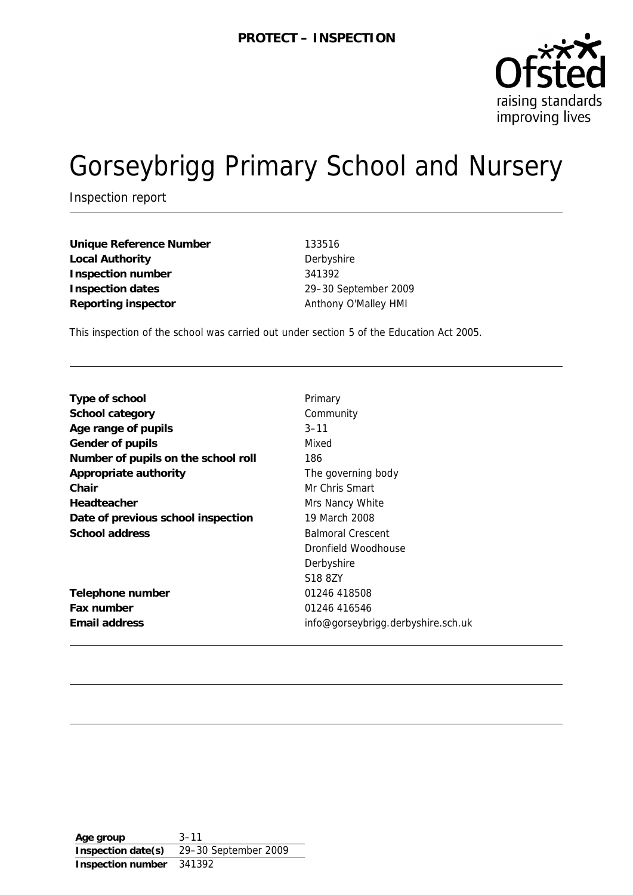

# Gorseybrigg Primary School and Nursery

Inspection report

Unique Reference Number 133516 Local Authority **Derbyshire Inspection number** 341392 **Inspection dates** 29–30 September 2009 Reporting inspector **Anthony O'Malley HMI** 

This inspection of the school was carried out under section 5 of the Education Act 2005.

| Type of school                      | Primary                            |
|-------------------------------------|------------------------------------|
| School category                     | Community                          |
| Age range of pupils                 | $3 - 11$                           |
| Gender of pupils                    | Mixed                              |
| Number of pupils on the school roll | 186                                |
| Appropriate authority               | The governing body                 |
| Chair                               | Mr Chris Smart                     |
| Headteacher                         | Mrs Nancy White                    |
| Date of previous school inspection  | 19 March 2008                      |
| School address                      | <b>Balmoral Crescent</b>           |
|                                     | Dronfield Woodhouse                |
|                                     | Derbyshire                         |
|                                     | S <sub>18</sub> 8 <sub>Z</sub> Y   |
| Telephone number                    | 01246 418508                       |
| Fax number                          | 01246 416546                       |
| Email address                       | info@gorseybrigg.derbyshire.sch.uk |

**Age group** 3–11 **Inspection date(s)** 29–30 September 2009 **Inspection number** 341392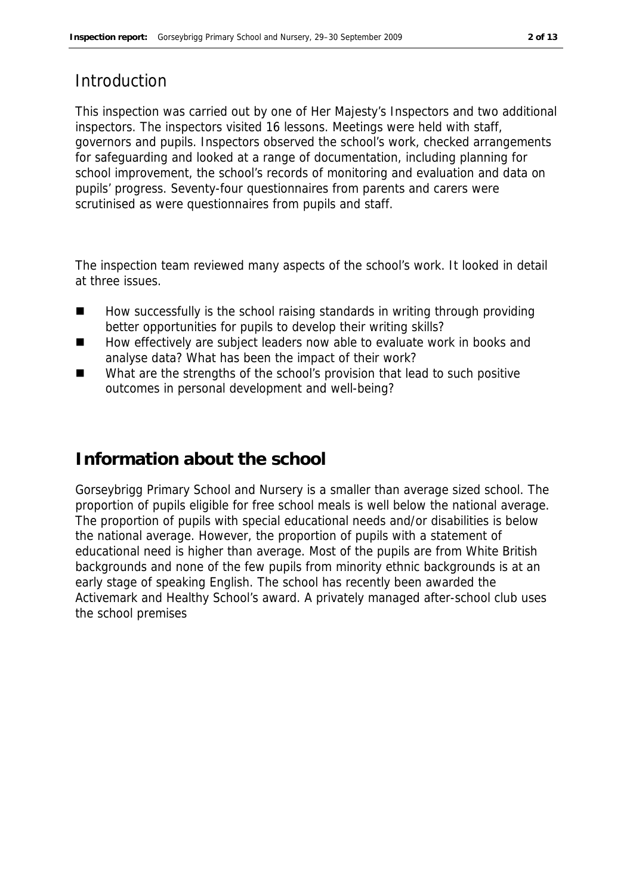### Introduction

This inspection was carried out by one of Her Majesty's Inspectors and two additional inspectors. The inspectors visited 16 lessons. Meetings were held with staff, governors and pupils. Inspectors observed the school's work, checked arrangements for safeguarding and looked at a range of documentation, including planning for school improvement, the school's records of monitoring and evaluation and data on pupils' progress. Seventy-four questionnaires from parents and carers were scrutinised as were questionnaires from pupils and staff.

The inspection team reviewed many aspects of the school's work. It looked in detail at three issues.

- How successfully is the school raising standards in writing through providing better opportunities for pupils to develop their writing skills?
- How effectively are subject leaders now able to evaluate work in books and analyse data? What has been the impact of their work?
- What are the strengths of the school's provision that lead to such positive outcomes in personal development and well-being?

### **Information about the school**

Gorseybrigg Primary School and Nursery is a smaller than average sized school. The proportion of pupils eligible for free school meals is well below the national average. The proportion of pupils with special educational needs and/or disabilities is below the national average. However, the proportion of pupils with a statement of educational need is higher than average. Most of the pupils are from White British backgrounds and none of the few pupils from minority ethnic backgrounds is at an early stage of speaking English. The school has recently been awarded the Activemark and Healthy School's award. A privately managed after-school club uses the school premises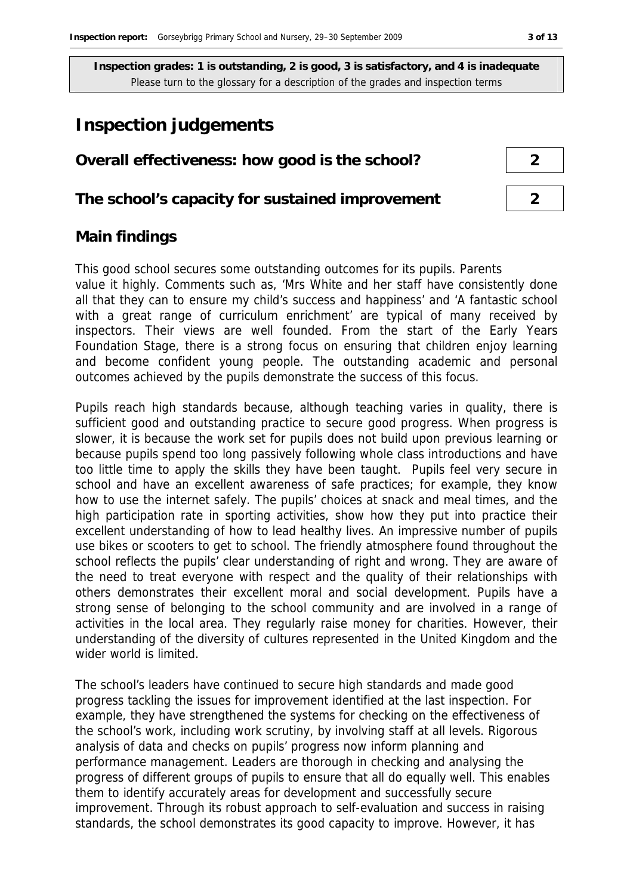### **Inspection judgements**

### **Overall effectiveness: how good is the school? 2**

**The school's capacity for sustained improvement 2**

# **Main findings**

This good school secures some outstanding outcomes for its pupils. Parents value it highly. Comments such as, 'Mrs White and her staff have consistently done all that they can to ensure my child's success and happiness' and 'A fantastic school with a great range of curriculum enrichment' are typical of many received by inspectors. Their views are well founded. From the start of the Early Years Foundation Stage, there is a strong focus on ensuring that children enjoy learning and become confident young people. The outstanding academic and personal outcomes achieved by the pupils demonstrate the success of this focus.

Pupils reach high standards because, although teaching varies in quality, there is sufficient good and outstanding practice to secure good progress. When progress is slower, it is because the work set for pupils does not build upon previous learning or because pupils spend too long passively following whole class introductions and have too little time to apply the skills they have been taught. Pupils feel very secure in school and have an excellent awareness of safe practices; for example, they know how to use the internet safely. The pupils' choices at snack and meal times, and the high participation rate in sporting activities, show how they put into practice their excellent understanding of how to lead healthy lives. An impressive number of pupils use bikes or scooters to get to school. The friendly atmosphere found throughout the school reflects the pupils' clear understanding of right and wrong. They are aware of the need to treat everyone with respect and the quality of their relationships with others demonstrates their excellent moral and social development. Pupils have a strong sense of belonging to the school community and are involved in a range of activities in the local area. They regularly raise money for charities. However, their understanding of the diversity of cultures represented in the United Kingdom and the wider world is limited.

The school's leaders have continued to secure high standards and made good progress tackling the issues for improvement identified at the last inspection. For example, they have strengthened the systems for checking on the effectiveness of the school's work, including work scrutiny, by involving staff at all levels. Rigorous analysis of data and checks on pupils' progress now inform planning and performance management. Leaders are thorough in checking and analysing the progress of different groups of pupils to ensure that all do equally well. This enables them to identify accurately areas for development and successfully secure improvement. Through its robust approach to self-evaluation and success in raising standards, the school demonstrates its good capacity to improve. However, it has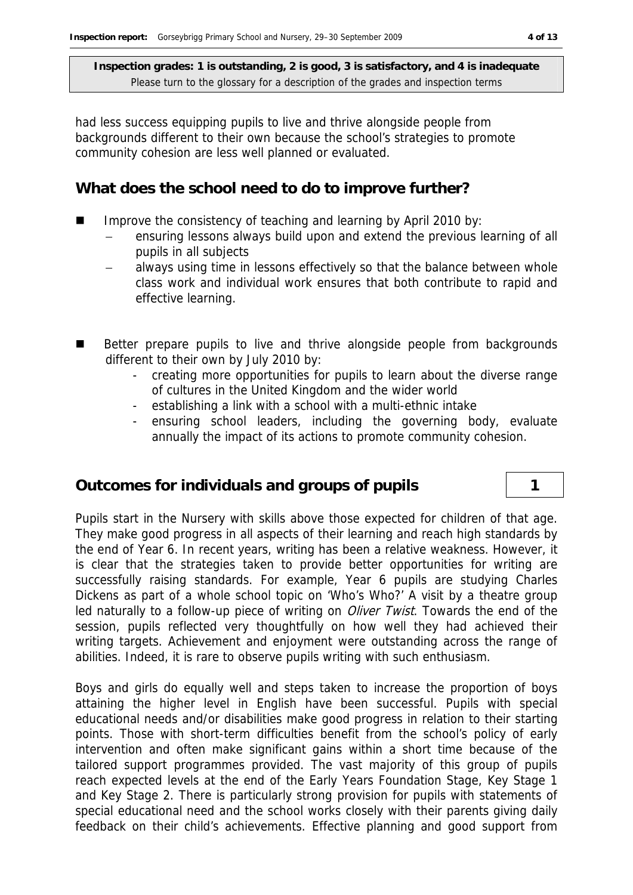had less success equipping pupils to live and thrive alongside people from backgrounds different to their own because the school's strategies to promote community cohesion are less well planned or evaluated.

#### **What does the school need to do to improve further?**

- Improve the consistency of teaching and learning by April 2010 by:
	- ensuring lessons always build upon and extend the previous learning of all pupils in all subjects
	- always using time in lessons effectively so that the balance between whole class work and individual work ensures that both contribute to rapid and effective learning.
- Better prepare pupils to live and thrive alongside people from backgrounds different to their own by July 2010 by:
	- creating more opportunities for pupils to learn about the diverse range of cultures in the United Kingdom and the wider world
	- establishing a link with a school with a multi-ethnic intake
	- ensuring school leaders, including the governing body, evaluate annually the impact of its actions to promote community cohesion.

### **Outcomes for individuals and groups of pupils 1**

Pupils start in the Nursery with skills above those expected for children of that age. They make good progress in all aspects of their learning and reach high standards by the end of Year 6. In recent years, writing has been a relative weakness. However, it is clear that the strategies taken to provide better opportunities for writing are successfully raising standards. For example, Year 6 pupils are studying Charles Dickens as part of a whole school topic on 'Who's Who?' A visit by a theatre group led naturally to a follow-up piece of writing on *Oliver Twist*. Towards the end of the session, pupils reflected very thoughtfully on how well they had achieved their writing targets. Achievement and enjoyment were outstanding across the range of abilities. Indeed, it is rare to observe pupils writing with such enthusiasm.

Boys and girls do equally well and steps taken to increase the proportion of boys attaining the higher level in English have been successful. Pupils with special educational needs and/or disabilities make good progress in relation to their starting points. Those with short-term difficulties benefit from the school's policy of early intervention and often make significant gains within a short time because of the tailored support programmes provided. The vast majority of this group of pupils reach expected levels at the end of the Early Years Foundation Stage, Key Stage 1 and Key Stage 2. There is particularly strong provision for pupils with statements of special educational need and the school works closely with their parents giving daily feedback on their child's achievements. Effective planning and good support from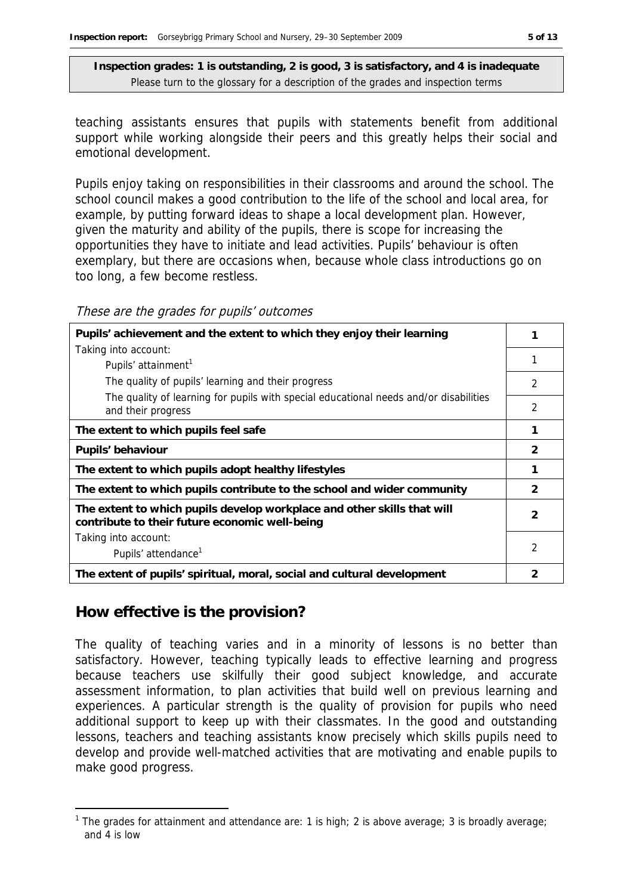teaching assistants ensures that pupils with statements benefit from additional support while working alongside their peers and this greatly helps their social and emotional development.

Pupils enjoy taking on responsibilities in their classrooms and around the school. The school council makes a good contribution to the life of the school and local area, for example, by putting forward ideas to shape a local development plan. However, given the maturity and ability of the pupils, there is scope for increasing the opportunities they have to initiate and lead activities. Pupils' behaviour is often exemplary, but there are occasions when, because whole class introductions go on too long, a few become restless.

These are the grades for pupils' outcomes

| Pupils' achievement and the extent to which they enjoy their learning                                                     |               |  |
|---------------------------------------------------------------------------------------------------------------------------|---------------|--|
| Taking into account:                                                                                                      |               |  |
| Pupils' attainment <sup>1</sup>                                                                                           |               |  |
| The quality of pupils' learning and their progress                                                                        | 2             |  |
| The quality of learning for pupils with special educational needs and/or disabilities<br>and their progress               | 2             |  |
| The extent to which pupils feel safe                                                                                      |               |  |
| Pupils' behaviour                                                                                                         |               |  |
| The extent to which pupils adopt healthy lifestyles                                                                       |               |  |
| The extent to which pupils contribute to the school and wider community                                                   | $\mathcal{P}$ |  |
| The extent to which pupils develop workplace and other skills that will<br>contribute to their future economic well-being |               |  |
| Taking into account:                                                                                                      |               |  |
| Pupils' attendance <sup>1</sup>                                                                                           | 2             |  |
| The extent of pupils' spiritual, moral, social and cultural development                                                   | 2             |  |

#### **How effective is the provision?**

-

The quality of teaching varies and in a minority of lessons is no better than satisfactory. However, teaching typically leads to effective learning and progress because teachers use skilfully their good subject knowledge, and accurate assessment information, to plan activities that build well on previous learning and experiences. A particular strength is the quality of provision for pupils who need additional support to keep up with their classmates. In the good and outstanding lessons, teachers and teaching assistants know precisely which skills pupils need to develop and provide well-matched activities that are motivating and enable pupils to make good progress.

<sup>&</sup>lt;sup>1</sup> The grades for attainment and attendance are: 1 is high; 2 is above average; 3 is broadly average; and 4 is low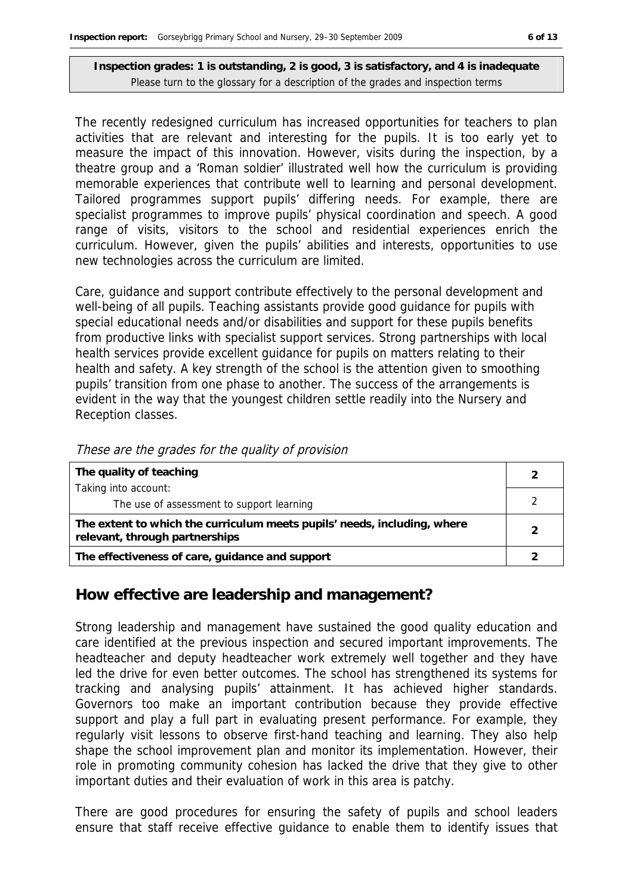The recently redesigned curriculum has increased opportunities for teachers to plan activities that are relevant and interesting for the pupils. It is too early yet to measure the impact of this innovation. However, visits during the inspection, by a theatre group and a 'Roman soldier' illustrated well how the curriculum is providing memorable experiences that contribute well to learning and personal development. Tailored programmes support pupils' differing needs. For example, there are specialist programmes to improve pupils' physical coordination and speech. A good range of visits, visitors to the school and residential experiences enrich the curriculum. However, given the pupils' abilities and interests, opportunities to use new technologies across the curriculum are limited.

Care, guidance and support contribute effectively to the personal development and well-being of all pupils. Teaching assistants provide good guidance for pupils with special educational needs and/or disabilities and support for these pupils benefits from productive links with specialist support services. Strong partnerships with local health services provide excellent guidance for pupils on matters relating to their health and safety. A key strength of the school is the attention given to smoothing pupils' transition from one phase to another. The success of the arrangements is evident in the way that the youngest children settle readily into the Nursery and Reception classes.

| <i>riotive and the gradue for the gaanty of provision</i>                                                  |               |  |
|------------------------------------------------------------------------------------------------------------|---------------|--|
| The quality of teaching                                                                                    |               |  |
| Taking into account:                                                                                       |               |  |
| The use of assessment to support learning                                                                  |               |  |
| The extent to which the curriculum meets pupils' needs, including, where<br>relevant, through partnerships | $\mathcal{P}$ |  |

**The effectiveness of care, guidance and support 2**

These are the grades for the quality of provision

## **How effective are leadership and management?**

Strong leadership and management have sustained the good quality education and care identified at the previous inspection and secured important improvements. The headteacher and deputy headteacher work extremely well together and they have led the drive for even better outcomes. The school has strengthened its systems for tracking and analysing pupils' attainment. It has achieved higher standards. Governors too make an important contribution because they provide effective support and play a full part in evaluating present performance. For example, they regularly visit lessons to observe first-hand teaching and learning. They also help shape the school improvement plan and monitor its implementation. However, their role in promoting community cohesion has lacked the drive that they give to other important duties and their evaluation of work in this area is patchy.

There are good procedures for ensuring the safety of pupils and school leaders ensure that staff receive effective guidance to enable them to identify issues that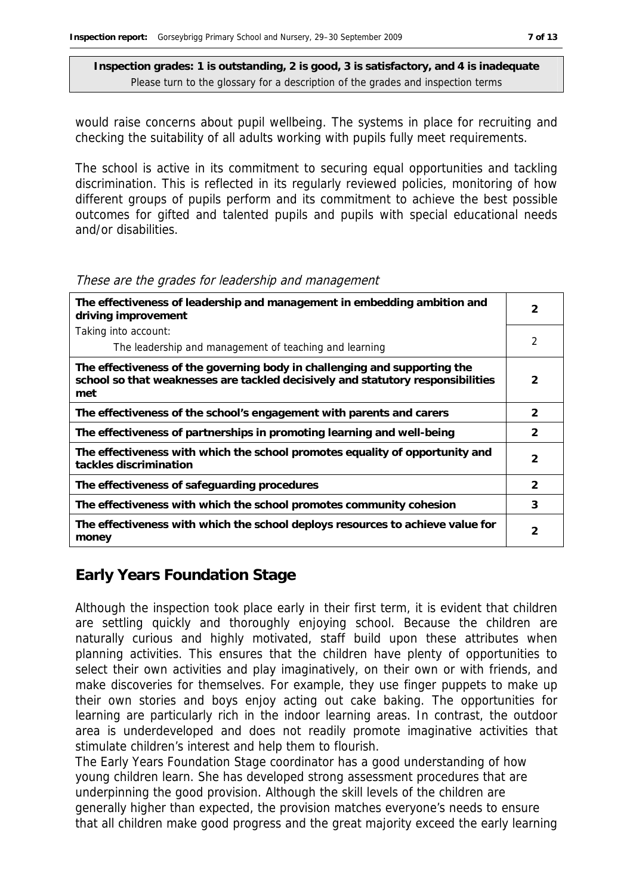would raise concerns about pupil wellbeing. The systems in place for recruiting and checking the suitability of all adults working with pupils fully meet requirements.

The school is active in its commitment to securing equal opportunities and tackling discrimination. This is reflected in its regularly reviewed policies, monitoring of how different groups of pupils perform and its commitment to achieve the best possible outcomes for gifted and talented pupils and pupils with special educational needs and/or disabilities.

#### These are the grades for leadership and management

| The effectiveness of leadership and management in embedding ambition and<br>driving improvement                                                                     |                |
|---------------------------------------------------------------------------------------------------------------------------------------------------------------------|----------------|
| Taking into account:                                                                                                                                                |                |
| The leadership and management of teaching and learning                                                                                                              | $\mathfrak{D}$ |
| The effectiveness of the governing body in challenging and supporting the<br>school so that weaknesses are tackled decisively and statutory responsibilities<br>met | 2              |
| The effectiveness of the school's engagement with parents and carers                                                                                                | $\mathcal{P}$  |
| The effectiveness of partnerships in promoting learning and well-being                                                                                              | 2              |
| The effectiveness with which the school promotes equality of opportunity and<br>tackles discrimination                                                              | 2              |
| The effectiveness of safeguarding procedures                                                                                                                        | $\mathcal{P}$  |
| The effectiveness with which the school promotes community cohesion                                                                                                 | 3              |
| The effectiveness with which the school deploys resources to achieve value for<br>money                                                                             | 2              |

#### **Early Years Foundation Stage**

Although the inspection took place early in their first term, it is evident that children are settling quickly and thoroughly enjoying school. Because the children are naturally curious and highly motivated, staff build upon these attributes when planning activities. This ensures that the children have plenty of opportunities to select their own activities and play imaginatively, on their own or with friends, and make discoveries for themselves. For example, they use finger puppets to make up their own stories and boys enjoy acting out cake baking. The opportunities for learning are particularly rich in the indoor learning areas. In contrast, the outdoor area is underdeveloped and does not readily promote imaginative activities that stimulate children's interest and help them to flourish.

The Early Years Foundation Stage coordinator has a good understanding of how young children learn. She has developed strong assessment procedures that are underpinning the good provision. Although the skill levels of the children are generally higher than expected, the provision matches everyone's needs to ensure that all children make good progress and the great majority exceed the early learning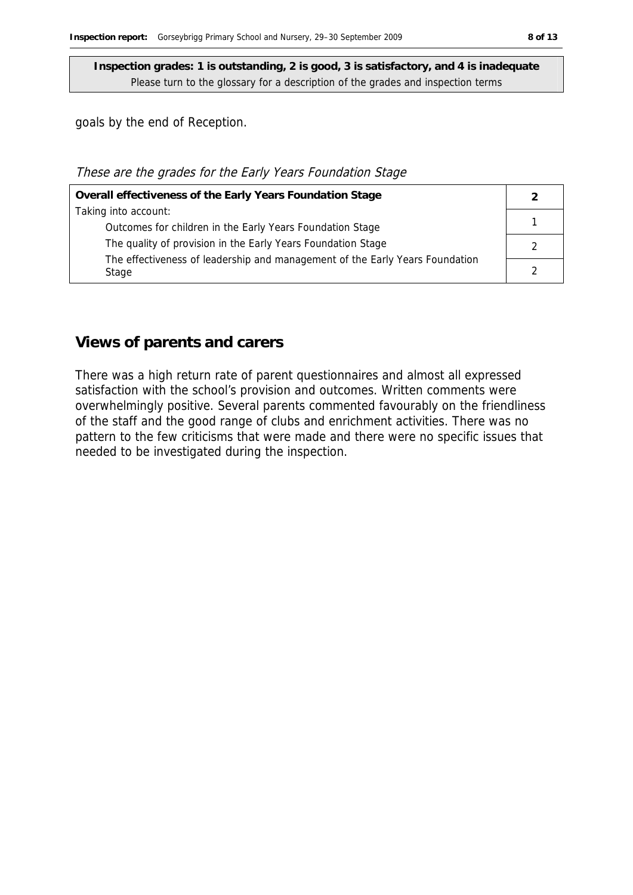goals by the end of Reception.

#### These are the grades for the Early Years Foundation Stage

| Overall effectiveness of the Early Years Foundation Stage                    |  |
|------------------------------------------------------------------------------|--|
| Taking into account:                                                         |  |
| Outcomes for children in the Early Years Foundation Stage                    |  |
| The quality of provision in the Early Years Foundation Stage                 |  |
| The effectiveness of leadership and management of the Early Years Foundation |  |
| Stage                                                                        |  |

#### **Views of parents and carers**

There was a high return rate of parent questionnaires and almost all expressed satisfaction with the school's provision and outcomes. Written comments were overwhelmingly positive. Several parents commented favourably on the friendliness of the staff and the good range of clubs and enrichment activities. There was no pattern to the few criticisms that were made and there were no specific issues that needed to be investigated during the inspection.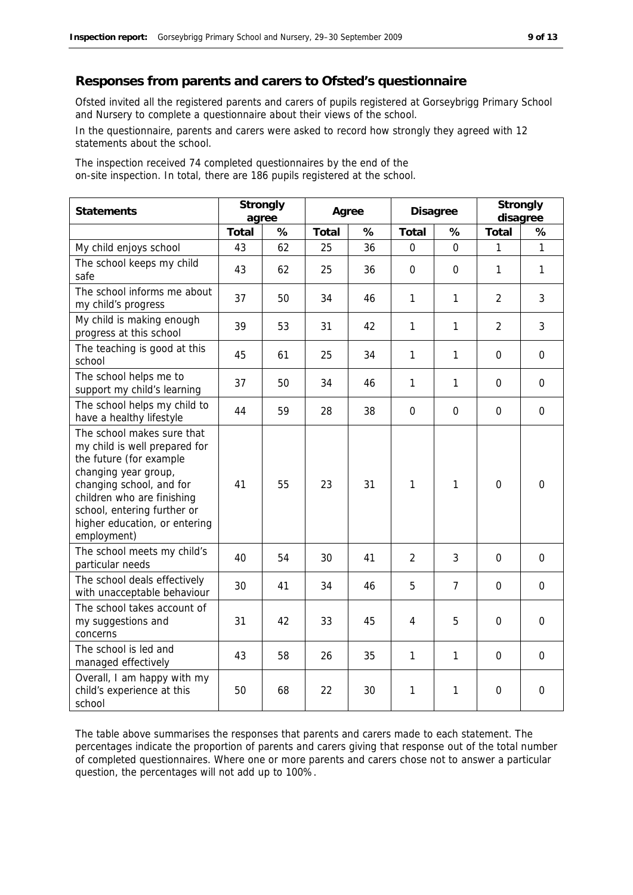#### **Responses from parents and carers to Ofsted's questionnaire**

Ofsted invited all the registered parents and carers of pupils registered at Gorseybrigg Primary School and Nursery to complete a questionnaire about their views of the school.

In the questionnaire, parents and carers were asked to record how strongly they agreed with 12 statements about the school.

The inspection received 74 completed questionnaires by the end of the on-site inspection. In total, there are 186 pupils registered at the school.

| Statements                                                                                                                                                                                                                                              |       | Strongly<br>agree |       | Agree |                | Disagree     |                | Strongly<br>disagree |
|---------------------------------------------------------------------------------------------------------------------------------------------------------------------------------------------------------------------------------------------------------|-------|-------------------|-------|-------|----------------|--------------|----------------|----------------------|
|                                                                                                                                                                                                                                                         | Total | %                 | Total | %     | Total          | %            | Total          | %                    |
| My child enjoys school                                                                                                                                                                                                                                  | 43    | 62                | 25    | 36    | 0              | $\Omega$     | 1              | $\mathbf{1}$         |
| The school keeps my child<br>safe                                                                                                                                                                                                                       | 43    | 62                | 25    | 36    | $\mathbf 0$    | 0            | $\mathbf{1}$   | $\mathbf{1}$         |
| The school informs me about<br>my child's progress                                                                                                                                                                                                      | 37    | 50                | 34    | 46    | 1              | 1            | $\overline{2}$ | 3                    |
| My child is making enough<br>progress at this school                                                                                                                                                                                                    | 39    | 53                | 31    | 42    | 1              | 1            | $\overline{2}$ | 3                    |
| The teaching is good at this<br>school                                                                                                                                                                                                                  | 45    | 61                | 25    | 34    | 1              | 1            | $\overline{0}$ | $\overline{0}$       |
| The school helps me to<br>support my child's learning                                                                                                                                                                                                   | 37    | 50                | 34    | 46    | $\mathbf{1}$   | $\mathbf{1}$ | 0              | $\Omega$             |
| The school helps my child to<br>have a healthy lifestyle                                                                                                                                                                                                | 44    | 59                | 28    | 38    | 0              | $\Omega$     | 0              | $\mathbf 0$          |
| The school makes sure that<br>my child is well prepared for<br>the future (for example<br>changing year group,<br>changing school, and for<br>children who are finishing<br>school, entering further or<br>higher education, or entering<br>employment) | 41    | 55                | 23    | 31    | 1              | 1            | $\overline{0}$ | $\Omega$             |
| The school meets my child's<br>particular needs                                                                                                                                                                                                         | 40    | 54                | 30    | 41    | $\overline{2}$ | 3            | $\Omega$       | $\Omega$             |
| The school deals effectively<br>with unacceptable behaviour                                                                                                                                                                                             | 30    | 41                | 34    | 46    | 5              | 7            | $\mathbf 0$    | $\mathbf 0$          |
| The school takes account of<br>my suggestions and<br>concerns                                                                                                                                                                                           | 31    | 42                | 33    | 45    | $\overline{4}$ | 5            | $\mathbf 0$    | $\mathbf 0$          |
| The school is led and<br>managed effectively                                                                                                                                                                                                            | 43    | 58                | 26    | 35    | 1              | 1            | $\mathbf 0$    | $\mathbf 0$          |
| Overall, I am happy with my<br>child's experience at this<br>school                                                                                                                                                                                     | 50    | 68                | 22    | 30    | 1              | 1            | $\mathbf 0$    | $\mathbf 0$          |

The table above summarises the responses that parents and carers made to each statement. The percentages indicate the proportion of parents and carers giving that response out of the total number of completed questionnaires. Where one or more parents and carers chose not to answer a particular question, the percentages will not add up to 100%.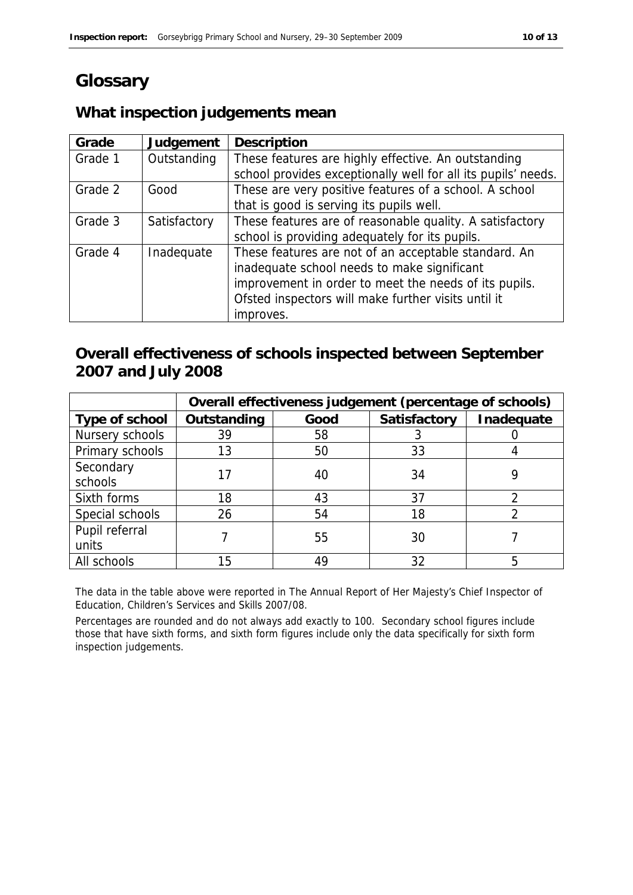### **Glossary**

### **What inspection judgements mean**

| Grade   | Judgement    | Description                                                   |
|---------|--------------|---------------------------------------------------------------|
| Grade 1 | Outstanding  | These features are highly effective. An outstanding           |
|         |              | school provides exceptionally well for all its pupils' needs. |
| Grade 2 | Good         | These are very positive features of a school. A school        |
|         |              | that is good is serving its pupils well.                      |
| Grade 3 | Satisfactory | These features are of reasonable quality. A satisfactory      |
|         |              | school is providing adequately for its pupils.                |
| Grade 4 | Inadequate   | These features are not of an acceptable standard. An          |
|         |              | inadequate school needs to make significant                   |
|         |              | improvement in order to meet the needs of its pupils.         |
|         |              | Ofsted inspectors will make further visits until it           |
|         |              | improves.                                                     |

### **Overall effectiveness of schools inspected between September 2007 and July 2008**

|                 | Overall effectiveness judgement (percentage of schools) |      |              |            |  |
|-----------------|---------------------------------------------------------|------|--------------|------------|--|
| Type of school  | Outstanding                                             | Good | Satisfactory | Inadequate |  |
| Nursery schools | 39                                                      | 58   |              |            |  |
| Primary schools | 13                                                      | 50   | 33           |            |  |
| Secondary       |                                                         |      | 34           |            |  |
| schools         |                                                         | 40   |              |            |  |
| Sixth forms     | 18                                                      | 43   | 37           |            |  |
| Special schools | 26                                                      | 54   | 18           |            |  |
| Pupil referral  |                                                         |      | 30           |            |  |
| units           |                                                         | 55   |              |            |  |
| All schools     | 15                                                      | 49   | 32           |            |  |

The data in the table above were reported in The Annual Report of Her Majesty's Chief Inspector of Education, Children's Services and Skills 2007/08.

Percentages are rounded and do not always add exactly to 100. Secondary school figures include those that have sixth forms, and sixth form figures include only the data specifically for sixth form inspection judgements.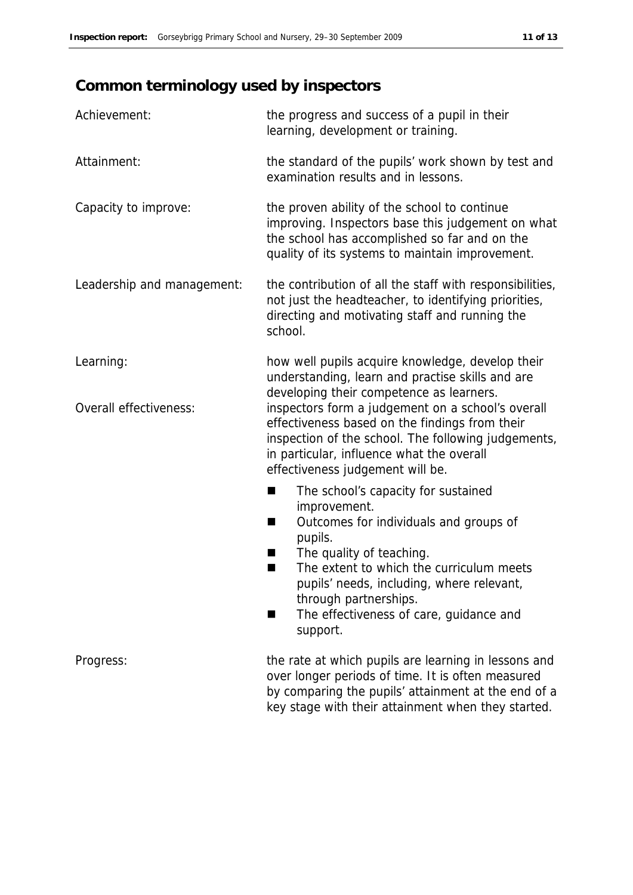### **Common terminology used by inspectors**

| Achievement:               | the progress and success of a pupil in their<br>learning, development or training.                                                                                                                                                          |
|----------------------------|---------------------------------------------------------------------------------------------------------------------------------------------------------------------------------------------------------------------------------------------|
| Attainment:                | the standard of the pupils' work shown by test and<br>examination results and in lessons.                                                                                                                                                   |
| Capacity to improve:       | the proven ability of the school to continue<br>improving. Inspectors base this judgement on what<br>the school has accomplished so far and on the<br>quality of its systems to maintain improvement.                                       |
| Leadership and management: | the contribution of all the staff with responsibilities,<br>not just the headteacher, to identifying priorities,<br>directing and motivating staff and running the<br>school.                                                               |
| Learning:                  | how well pupils acquire knowledge, develop their<br>understanding, learn and practise skills and are<br>developing their competence as learners.                                                                                            |
| Overall effectiveness:     | inspectors form a judgement on a school's overall<br>effectiveness based on the findings from their<br>inspection of the school. The following judgements,<br>in particular, influence what the overall<br>effectiveness judgement will be. |
|                            | The school's capacity for sustained<br>٠                                                                                                                                                                                                    |
|                            | improvement.<br>Outcomes for individuals and groups of<br>٠<br>pupils.                                                                                                                                                                      |
|                            | The quality of teaching.<br>٠<br>The extent to which the curriculum meets                                                                                                                                                                   |
|                            | pupils' needs, including, where relevant,<br>through partnerships.                                                                                                                                                                          |
|                            | The effectiveness of care, guidance and<br>support.                                                                                                                                                                                         |
| Progress:                  | the rate at which pupils are learning in lessons and<br>over longer periods of time. It is often measured                                                                                                                                   |
|                            | by comparing the pupils' attainment at the end of a                                                                                                                                                                                         |

key stage with their attainment when they started.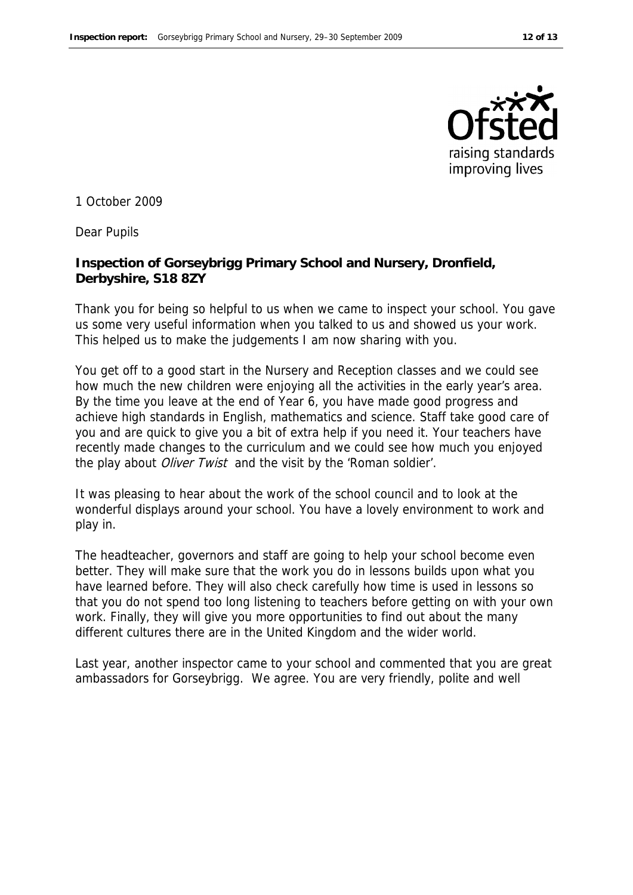

1 October 2009

Dear Pupils

**Inspection of Gorseybrigg Primary School and Nursery, Dronfield, Derbyshire, S18 8ZY**

Thank you for being so helpful to us when we came to inspect your school. You gave us some very useful information when you talked to us and showed us your work. This helped us to make the judgements I am now sharing with you.

You get off to a good start in the Nursery and Reception classes and we could see how much the new children were enjoying all the activities in the early year's area. By the time you leave at the end of Year 6, you have made good progress and achieve high standards in English, mathematics and science. Staff take good care of you and are quick to give you a bit of extra help if you need it. Your teachers have recently made changes to the curriculum and we could see how much you enjoyed the play about *Oliver Twist* and the visit by the 'Roman soldier'.

It was pleasing to hear about the work of the school council and to look at the wonderful displays around your school. You have a lovely environment to work and play in.

The headteacher, governors and staff are going to help your school become even better. They will make sure that the work you do in lessons builds upon what you have learned before. They will also check carefully how time is used in lessons so that you do not spend too long listening to teachers before getting on with your own work. Finally, they will give you more opportunities to find out about the many different cultures there are in the United Kingdom and the wider world.

Last year, another inspector came to your school and commented that you are great ambassadors for Gorseybrigg. We agree. You are very friendly, polite and well